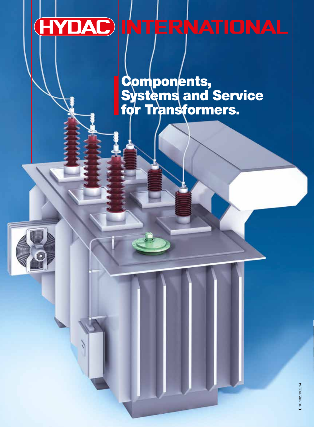# **HYDAC INTERNATIONAL**

Components, **Systems and Service** før Transformers.

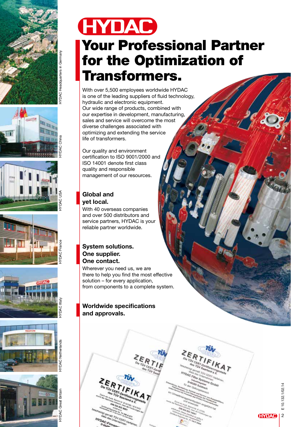















## Your Professional Partner for the Optimization of Transformers.

With over 5,500 employees worldwide HYDAC is one of the leading suppliers of fluid technology, hydraulic and electronic equipment. Our wide range of products, combined with our expertise in development, manufacturing, sales and service will overcome the most diverse challenges associated with optimizing and extending the service life of transformers.

Our quality and environment certification to ISO 9001/2000 and ISO 14001 denote first class quality and responsible management of our resources.

## Global and yet local.

With 40 overseas companies and over 500 distributors and service partners, HYDAC is your reliable partner worldwide.

### System solutions. One supplier. One contact.

Wherever you need us, we are there to help you find the most effective solution – for every application, from components to a complete system.

### Worldwide specifications and approvals.

**40 TOV CERT Ver** 

**HYDAC-Firm** 

TOV CERT Syste ms GmbH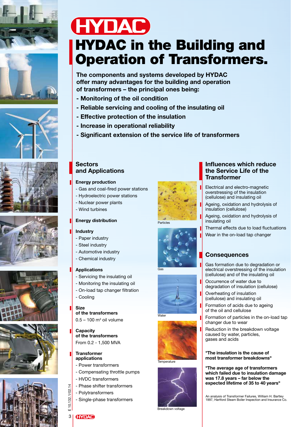















## **HYDAC** HYDAC in the Building and Operation of Transformers.

The components and systems developed by HYDAC offer many advantages for the building and operation of transformers – the principal ones being:

- Monitoring of the oil condition
- Reliable servicing and cooling of the insulating oil
- Effective protection of the insulation
- Increase in operational reliability
- Significant extension of the service life of transformers

### **Sectors** and Applications

#### Energy production

- Gas and coal-fired power stations
- Hydroelectric power stations
- Nuclear power plants
- Wind turbines

#### Energy distribution

#### Industry

- Paper industry
- Steel industry
- Automotive industry
- Chemical industry

#### Applications

- Servicing the insulating oil
- Monitoring the insulating oil
- On-load tap changer filtration
- Cooling

#### Size

of the transformers  $0.5 - 100$  m<sup>3</sup> oil volume

**Capacity** of the transformers From 0.2 - 1,500 MVA

#### **Transformer** applications

- Power transformers
- Compensating throttle pumps
- HVDC transformers
- Phase shifter transformers
- Polytransformers
- Single-phase transformers



#### Particles





Water



Temperature



Breakdown voltage

Influences which reduce the Service Life of the **Transformer** 

Electrical and electro-magnetic overstressing of the insulation (cellulose) and insulating oil

Ageing, oxidation and hydrolysis of insulation (cellulose)

- Ageing, oxidation and hydrolysis of insulating oil
- Thermal effects due to load fluctuations
- Wear in the on-load tap changer

## **Consequences**

Gas formation due to degradation or electrical overstressing of the insulation (cellulose) and of the insulating oil

Occurrence of water due to degradation of insulation (cellulose)

- Overheating of insulation (cellulose) and insulating oil
- Formation of acids due to ageing of the oil and cellulose

Formation of particles in the on-load tap changer due to wear

Reduction in the breakdown voltage caused by water, particles, gases and acids

#### "The insulation is the cause of most transformer breakdowns"

"The average age of transformers which failed due to insulation damage was 17.8 years – far below the expected lifetime of 35 to 40 years"

An analysis of Transformer Failures, William H. Bartley 1997, Hartford Steam Boiler Inspection and Insurance Co.

## $\omega$  E 10.132.1/02.14 3 **HYDAC**

 $\frac{1}{4}$ 

132.1/02  $\dot{\Xi}$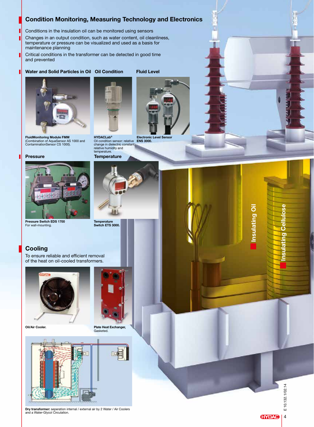### Condition Monitoring, Measuring Technology and Electronics

Conditions in the insulation oil can be monitored using sensors

Changes in an output condition, such as water content, oil cleanliness, temperature or pressure can be visualized and used as a basis for maintenance planning

Critical conditions in the transformer can be detected in good time and prevented

#### Water and Solid Particles in Oil Oil Condition Fluid Level



FluidMonitoring Module FMM (Combination of AquaSensor AS 1000 and ContaminationSensor CS 1000).

#### Pressure Temperature

Г



Pressure Switch EDS 1700 For wall-mounting.



HYDACLab® Oil condition sensor: relative Electronic Level Sensor ENS 3000. change in dielectric constant, relative humidity and temperature.



Temperature<br>Switch ETS 3000.

## Cooling

To ensure reliable and efficient removal of the heat on oil-cooled transformers.



Oil/Air Cooler.



Plate Heat Exchanger, Gasketed.



Dry transformer: seperation internal / external air by 2 Water / Air Coolers **and a Water-Glycol Circulation.** 

10.132.1/02.14  $\blacktriangleright$  E 10.132.1/02.14 풉

**HYDAC** 

 $\overline{4}$ 

Insulating Cellulose

С  $\overline{\mathbf{o}}$ 

Insulating Oil

Insulating Oil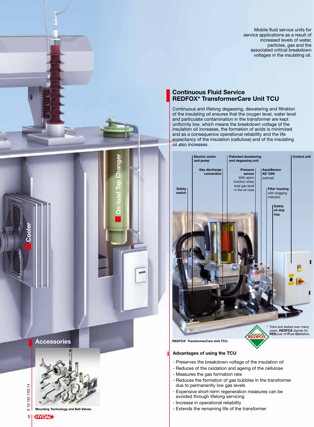Mobile fluid service units for service applications as a result of increased levels of water, particles, gas and the associated critical breakdown voltages in the insulating oil.

### Continuous Fluid Service REDFOX\* TransformerCare Unit TCU

Continuous and lifelong degassing, dewatering and filtration of the insulating oil ensures that the oxygen level, water level and particulate contamination in the transformer are kept uniformly low, which means the breakdown voltage of the insulation oil increases, the formation of acids is minimized and as a consequence operational reliability and the life expectancy of the insulation (cellulose) and of the insulating oil also increases.



- Preserves the breakdown voltage of the insulation oil
- Reduces of the oxidation and ageing of the cellulose
- Measures the gas formation rate
- Reduces the formation of gas bubbles in the transformer due to permanently low gas levels
- Expensive short-term regeneration measures can be avoided through lifelong servicing
- Increase in operational reliability
- Extends the remaining life of the transformer

Accessories



On-load Tap Changer

10.132.1/02.14  $55$  F 10.132.1/02.14 Ш

Cooler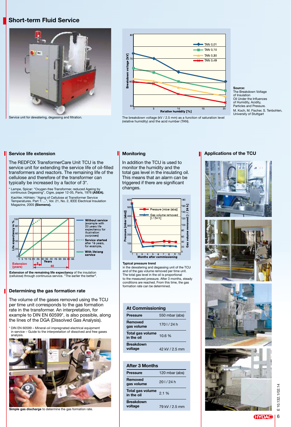#### Short-term Fluid Service



Service unit for dewatering, degassing and filtration.



The breakdown voltage (kV / 2.5 mm) as a function of saturation level (relative humidity) and the acid number (TAN).

#### Service life extension

The REDFOX TransformerCare Unit TCU is the service unit for extending the service life of oil-filled transformers and reactors. The remaining life of the cellulose and therefore of the transformer can typically be increased by a factor of 3\*.

\* Lampe, Spicar: "Oxygen-free Transformer, reduced Ageing by continuous Degassing", Cigre, paper 12-05, Paris, 1976 (ASEA). Kachler, Höhlein: "Aging of Cellulose at Transformer Service Temperatures. Part 1: ...", Vol. 21, No. 2, IEEE Electrical Insulation Magazine, 2005 (Siemens).



**Extension of the remaining life expectancy** of the insulation (cellulose) through continuous service. "The earlier the better".

#### Determining the gas formation rate

The volume of the gases removed using the TCU per time unit corresponds to the gas formation rate in the transformer. An interpretation, for example to DIN EN 60599\*, is also possible, along the lines of the DGA (Dissolved Gas Analysis).

\* DIN EN 60599 – Mineral-oil impregnated electrical equipment in service – Guide to the interpretation of dissolved and free gases analysis.



Simple gas discharge to determine the gas formation rate.

#### **Monitoring**

In addition the TCU is used to monitor the humidity and the total gas level in the insulating oil. This means that an alarm can be triggered if there are significant changes.



Typical pressure trend

in the dewatering and degassing unit of the TCU and of the gas volume removed per time unit. The total gas level in the oil is proportional to the measured pressure. After 3 months, steady conditions are reached. From this time, the gas formation rate can be determined.

#### At Commissioning

| <b>Pressure</b>                | 550 mbar (abs) |
|--------------------------------|----------------|
| <b>Removed</b><br>gas volume   | 1701/24h       |
| Total gas volume<br>in the oil | 10.6 %         |
| <b>Breakdown</b><br>voltage    | 42 kV / 2.5 mm |

#### After 3 Months

| Pressure                       | 120 mbar (abs) |
|--------------------------------|----------------|
| Removed<br>gas volume          | 201/24h        |
| Total gas volume<br>in the oil | 2.1%           |
| <b>Breakdown</b><br>voltage    | 79 kV / 2.5 mm |

#### Applications of the TCU



6

**HYDAC** 

**Source:**<br>The Breakdown Voltage of Insulation Oil Under the Influences of Humidity, Acidity, Particles and Pressure. M. Koch, M. Fischer, S. Tenbohlen, University of Stuttgart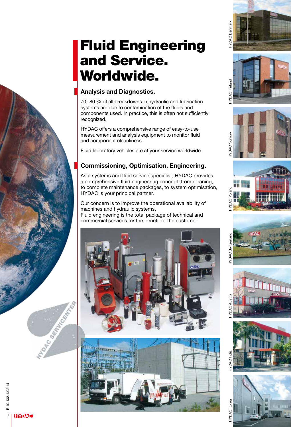## Fluid Engineering and Service. Worldwide.

## Analysis and Diagnostics.

70- 80 % of all breakdowns in hydraulic and lubrication systems are due to contamination of the fluids and components used. In practice, this is often not sufficiently recognized.

HYDAC offers a comprehensive range of easy-to-use measurement and analysis equipment to monitor fluid and component cleanliness.

Fluid laboratory vehicles are at your service worldwide.

## Commissioning, Optimisation, Engineering.

As a systems and fluid service specialist, HYDAC provides a comprehensive fluid engineering concept: from cleaning, to complete maintenance packages, to system optimisation, HYDAC is your principal partner.

Our concern is to improve the operational availability of machines and hydraulic systems.

Fluid engineering is the total package of technical and commercial services for the benefit of the customer.





HYDAC Finland HYDAC Denmark

**KDAC** Finland

**DAC Denmark** 

HYDAC Norway

**TYDAC Norway** 

HYDAC Poland

HYDAC Switzerland

**YDAC Switzerland** 

**YDAC Austri** 





MAD COMPANY ROAD